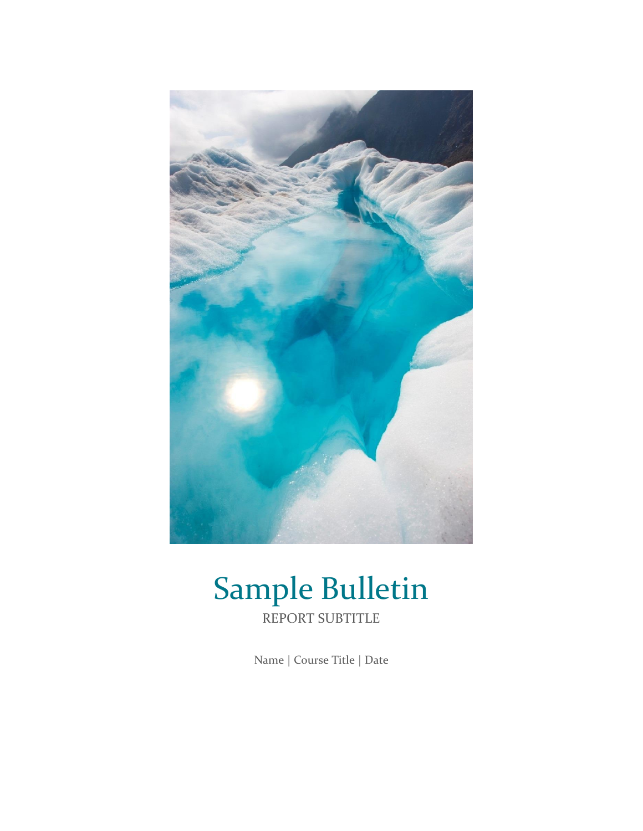

# Sample Bulletin REPORT SUBTITLE

Name | Course Title | Date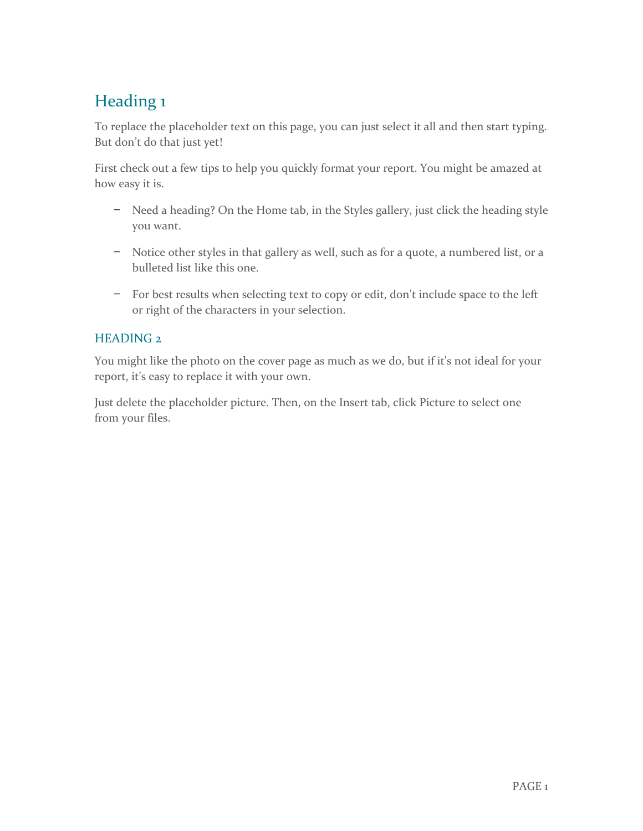## Heading 1

To replace the placeholder text on this page, you can just select it all and then start typing. But don't do that just yet!

First check out a few tips to help you quickly format your report. You might be amazed at how easy it is.

- − Need a heading? On the Home tab, in the Styles gallery, just click the heading style you want.
- − Notice other styles in that gallery as well, such as for a quote, a numbered list, or a bulleted list like this one.
- − For best results when selecting text to copy or edit, don't include space to the left or right of the characters in your selection.

### HEADING 2

You might like the photo on the cover page as much as we do, but if it's not ideal for your report, it's easy to replace it with your own.

Just delete the placeholder picture. Then, on the Insert tab, click Picture to select one from your files.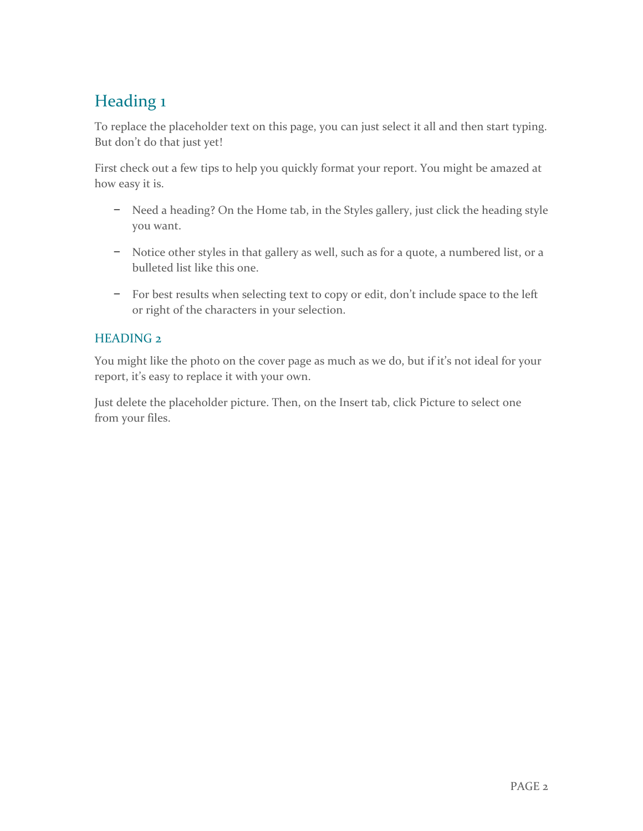## Heading 1

To replace the placeholder text on this page, you can just select it all and then start typing. But don't do that just yet!

First check out a few tips to help you quickly format your report. You might be amazed at how easy it is.

- − Need a heading? On the Home tab, in the Styles gallery, just click the heading style you want.
- − Notice other styles in that gallery as well, such as for a quote, a numbered list, or a bulleted list like this one.
- − For best results when selecting text to copy or edit, don't include space to the left or right of the characters in your selection.

### HEADING 2

You might like the photo on the cover page as much as we do, but if it's not ideal for your report, it's easy to replace it with your own.

Just delete the placeholder picture. Then, on the Insert tab, click Picture to select one from your files.